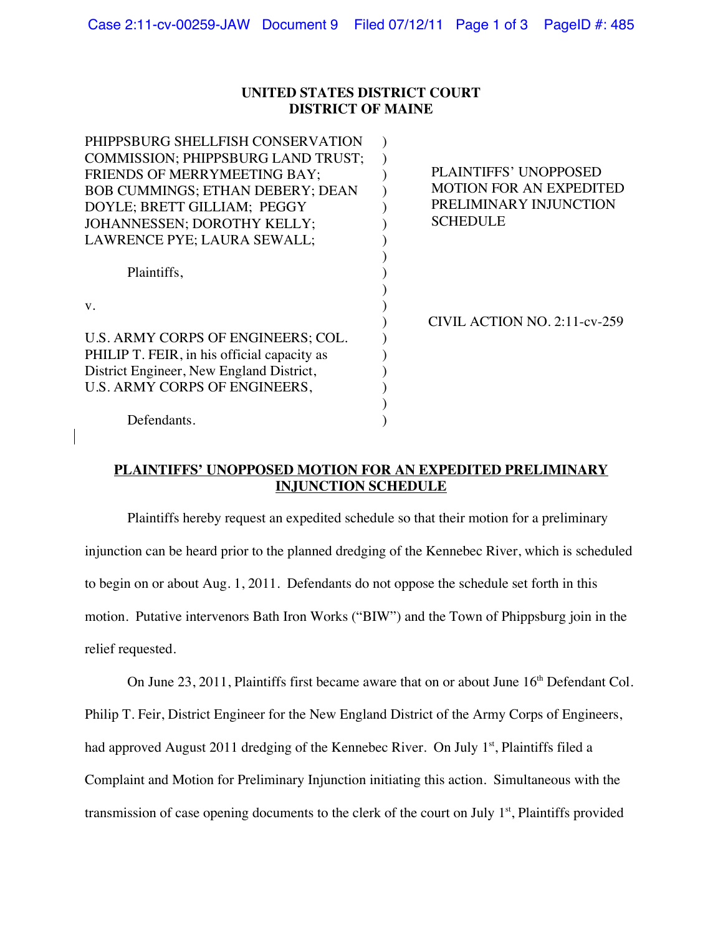#### **UNITED STATES DISTRICT COURT DISTRICT OF MAINE**

| PHIPPSBURG SHELLFISH CONSERVATION<br><b>COMMISSION: PHIPPSBURG LAND TRUST:</b> |                                |
|--------------------------------------------------------------------------------|--------------------------------|
| <b>FRIENDS OF MERRYMEETING BAY:</b>                                            | <b>PLAINTIFFS' UNOPPOSED</b>   |
| <b>BOB CUMMINGS: ETHAN DEBERY: DEAN</b>                                        | <b>MOTION FOR AN EXPEDITED</b> |
| DOYLE; BRETT GILLIAM; PEGGY                                                    | PRELIMINARY INJUNCTION         |
| JOHANNESSEN: DOROTHY KELLY:                                                    | <b>SCHEDULE</b>                |
| LAWRENCE PYE; LAURA SEWALL;                                                    |                                |
|                                                                                |                                |
| Plaintiffs,                                                                    |                                |
|                                                                                |                                |
| $V_{\cdot}$                                                                    |                                |
|                                                                                | CIVIL ACTION NO. 2:11-cv-259   |
| U.S. ARMY CORPS OF ENGINEERS; COL.                                             |                                |
| PHILIP T. FEIR, in his official capacity as                                    |                                |
| District Engineer, New England District,                                       |                                |
| U.S. ARMY CORPS OF ENGINEERS,                                                  |                                |
|                                                                                |                                |
| Defendants.                                                                    |                                |

### **PLAINTIFFS' UNOPPOSED MOTION FOR AN EXPEDITED PRELIMINARY INJUNCTION SCHEDULE**

Plaintiffs hereby request an expedited schedule so that their motion for a preliminary injunction can be heard prior to the planned dredging of the Kennebec River, which is scheduled to begin on or about Aug. 1, 2011. Defendants do not oppose the schedule set forth in this motion. Putative intervenors Bath Iron Works ("BIW") and the Town of Phippsburg join in the relief requested.

On June  $23$ ,  $2011$ , Plaintiffs first became aware that on or about June  $16<sup>th</sup>$  Defendant Col.

Philip T. Feir, District Engineer for the New England District of the Army Corps of Engineers,

had approved August 2011 dredging of the Kennebec River. On July  $1<sup>st</sup>$ , Plaintiffs filed a

Complaint and Motion for Preliminary Injunction initiating this action. Simultaneous with the

transmission of case opening documents to the clerk of the court on July  $1<sup>st</sup>$ , Plaintiffs provided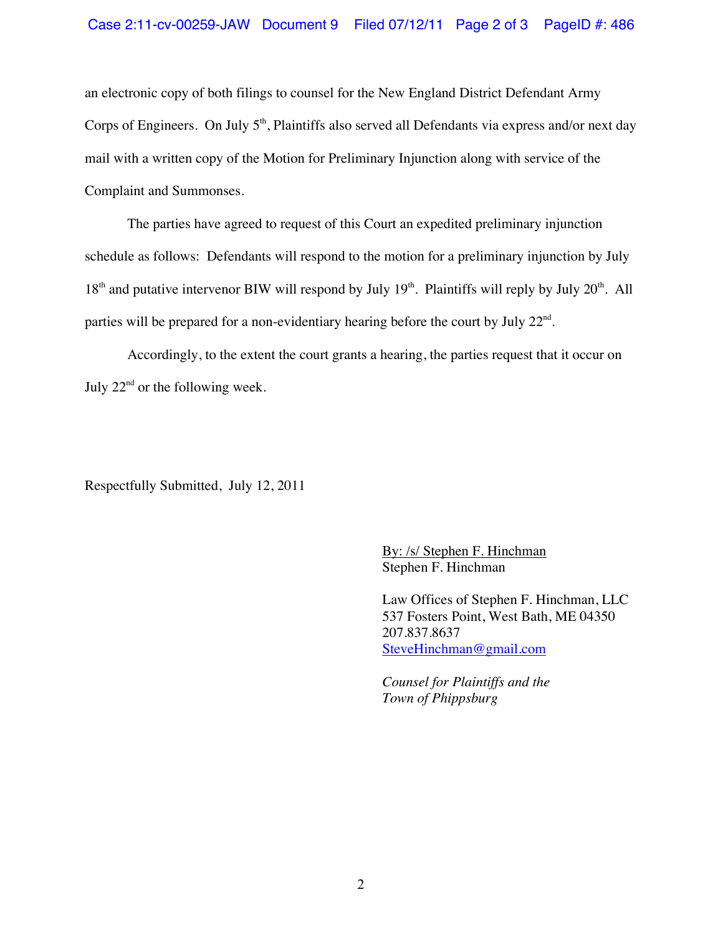### Case 2:11-cv-00259-JAW Document 9 Filed 07/12/11 Page 2 of 3 PageID #: 486

an electronic copy of both filings to counsel for the New England District Defendant Army Corps of Engineers. On July  $5<sup>th</sup>$ , Plaintiffs also served all Defendants via express and/or next day mail with a written copy of the Motion for Preliminary Injunction along with service of the Complaint and Summonses.

The parties have agreed to request of this Court an expedited preliminary injunction schedule as follows: Defendants will respond to the motion for a preliminary injunction by July  $18<sup>th</sup>$  and putative intervenor BIW will respond by July  $19<sup>th</sup>$ . Plaintiffs will reply by July  $20<sup>th</sup>$ . All parties will be prepared for a non-evidentiary hearing before the court by July 22nd.

Accordingly, to the extent the court grants a hearing, the parties request that it occur on July  $22<sup>nd</sup>$  or the following week.

Respectfully Submitted, July 12, 2011

By: /s/ Stephen F. Hinchman Stephen F. Hinchman

Law Offices of Stephen F. Hinchman, LLC 537 Fosters Point, West Bath, ME 04350 207.837.8637 SteveHinchman@gmail.com

*Counsel for Plaintiffs and the Town of Phippsburg*